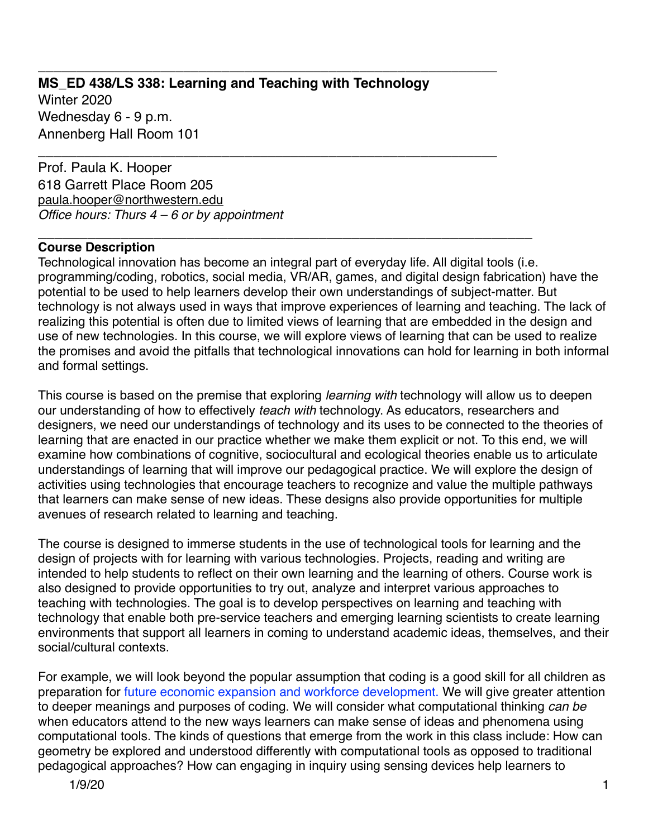# **MS\_ED 438/LS 338: Learning and Teaching with Technology**

**\_\_\_\_\_\_\_\_\_\_\_\_\_\_\_\_\_\_\_\_\_\_\_\_\_\_\_\_\_\_\_\_\_\_\_\_\_\_\_\_\_\_\_\_\_\_\_\_\_\_\_\_\_\_\_\_\_\_\_\_**

\_\_\_\_\_\_\_\_\_\_\_\_\_\_\_\_\_\_\_\_\_\_\_\_\_\_\_\_\_\_\_\_\_\_\_\_\_\_\_\_\_\_\_\_\_\_\_\_\_\_\_\_\_\_\_\_\_\_\_\_

Winter 2020 Wednesday 6 - 9 p.m. Annenberg Hall Room 101

Prof. Paula K. Hooper 618 Garrett Place Room 205 [paula.hooper@northwestern.edu](mailto:paula.hooper@northwestern.edu) *Office hours: Thurs 4 – 6 or by appointment*

#### \_\_\_\_\_\_\_\_\_\_\_\_\_\_\_\_\_\_\_\_\_\_\_\_\_\_\_\_\_\_\_\_\_\_\_\_\_\_\_\_\_\_\_\_\_\_\_\_\_\_\_\_\_\_\_\_\_\_\_\_ **Course Description**

Technological innovation has become an integral part of everyday life. All digital tools (i.e. programming/coding, robotics, social media, VR/AR, games, and digital design fabrication) have the potential to be used to help learners develop their own understandings of subject-matter. But technology is not always used in ways that improve experiences of learning and teaching. The lack of realizing this potential is often due to limited views of learning that are embedded in the design and use of new technologies. In this course, we will explore views of learning that can be used to realize the promises and avoid the pitfalls that technological innovations can hold for learning in both informal and formal settings.

This course is based on the premise that exploring *learning with* technology will allow us to deepen our understanding of how to effectively *teach with* technology. As educators, researchers and designers, we need our understandings of technology and its uses to be connected to the theories of learning that are enacted in our practice whether we make them explicit or not. To this end, we will examine how combinations of cognitive, sociocultural and ecological theories enable us to articulate understandings of learning that will improve our pedagogical practice. We will explore the design of activities using technologies that encourage teachers to recognize and value the multiple pathways that learners can make sense of new ideas. These designs also provide opportunities for multiple avenues of research related to learning and teaching.

The course is designed to immerse students in the use of technological tools for learning and the design of projects with for learning with various technologies. Projects, reading and writing are intended to help students to reflect on their own learning and the learning of others. Course work is also designed to provide opportunities to try out, analyze and interpret various approaches to teaching with technologies. The goal is to develop perspectives on learning and teaching with technology that enable both pre-service teachers and emerging learning scientists to create learning environments that support all learners in coming to understand academic ideas, themselves, and their social/cultural contexts.

For example, we will look beyond the popular assumption that coding is a good skill for all children as preparation for future economic expansion and workforce development. We will give greater attention to deeper meanings and purposes of coding. We will consider what computational thinking *can be* when educators attend to the new ways learners can make sense of ideas and phenomena using computational tools. The kinds of questions that emerge from the work in this class include: How can geometry be explored and understood differently with computational tools as opposed to traditional pedagogical approaches? How can engaging in inquiry using sensing devices help learners to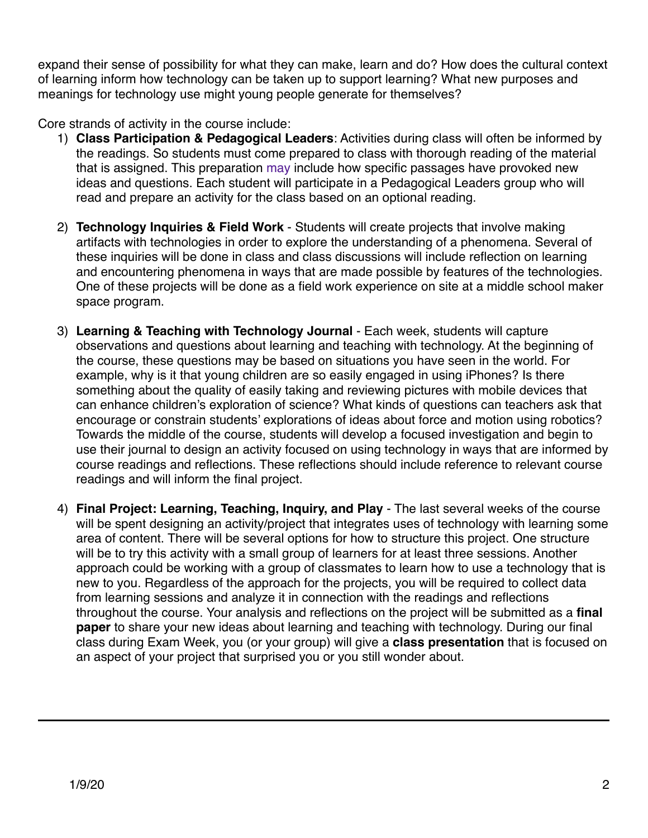expand their sense of possibility for what they can make, learn and do? How does the cultural context of learning inform how technology can be taken up to support learning? What new purposes and meanings for technology use might young people generate for themselves?

Core strands of activity in the course include:

- 1) **Class Participation & Pedagogical Leaders**: Activities during class will often be informed by the readings. So students must come prepared to class with thorough reading of the material that is assigned. This preparation may include how specific passages have provoked new ideas and questions. Each student will participate in a Pedagogical Leaders group who will read and prepare an activity for the class based on an optional reading.
- 2) **Technology Inquiries & Field Work** Students will create projects that involve making artifacts with technologies in order to explore the understanding of a phenomena. Several of these inquiries will be done in class and class discussions will include reflection on learning and encountering phenomena in ways that are made possible by features of the technologies. One of these projects will be done as a field work experience on site at a middle school maker space program.
- 3) **Learning & Teaching with Technology Journal** Each week, students will capture observations and questions about learning and teaching with technology. At the beginning of the course, these questions may be based on situations you have seen in the world. For example, why is it that young children are so easily engaged in using iPhones? Is there something about the quality of easily taking and reviewing pictures with mobile devices that can enhance children's exploration of science? What kinds of questions can teachers ask that encourage or constrain students' explorations of ideas about force and motion using robotics? Towards the middle of the course, students will develop a focused investigation and begin to use their journal to design an activity focused on using technology in ways that are informed by course readings and reflections. These reflections should include reference to relevant course readings and will inform the final project.
- 4) **Final Project: Learning, Teaching, Inquiry, and Play** The last several weeks of the course will be spent designing an activity/project that integrates uses of technology with learning some area of content. There will be several options for how to structure this project. One structure will be to try this activity with a small group of learners for at least three sessions. Another approach could be working with a group of classmates to learn how to use a technology that is new to you. Regardless of the approach for the projects, you will be required to collect data from learning sessions and analyze it in connection with the readings and reflections throughout the course. Your analysis and reflections on the project will be submitted as a **final paper** to share your new ideas about learning and teaching with technology. During our final class during Exam Week, you (or your group) will give a **class presentation** that is focused on an aspect of your project that surprised you or you still wonder about.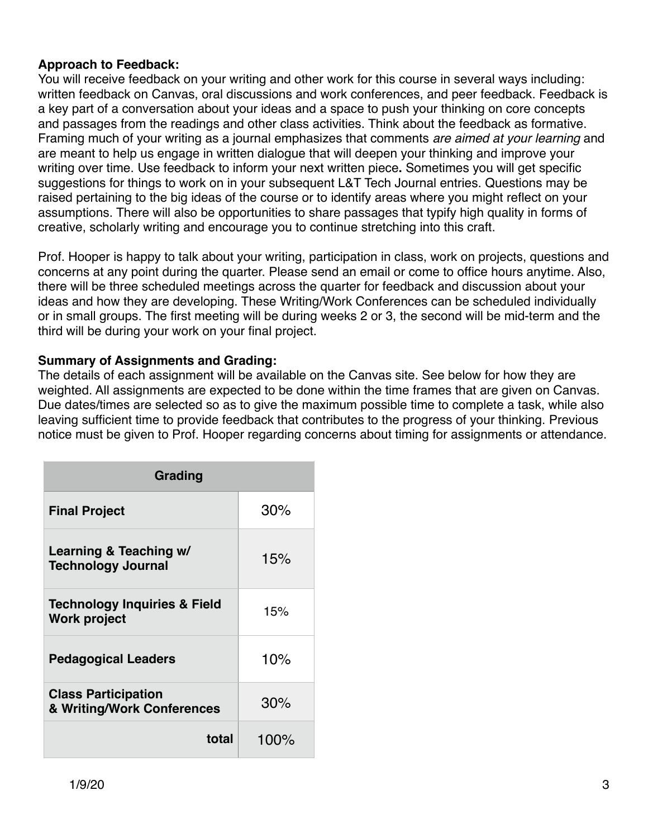#### **Approach to Feedback:**

You will receive feedback on your writing and other work for this course in several ways including: written feedback on Canvas, oral discussions and work conferences, and peer feedback. Feedback is a key part of a conversation about your ideas and a space to push your thinking on core concepts and passages from the readings and other class activities. Think about the feedback as formative. Framing much of your writing as a journal emphasizes that comments *are aimed at your learning* and are meant to help us engage in written dialogue that will deepen your thinking and improve your writing over time. Use feedback to inform your next written piece**.** Sometimes you will get specific suggestions for things to work on in your subsequent L&T Tech Journal entries. Questions may be raised pertaining to the big ideas of the course or to identify areas where you might reflect on your assumptions. There will also be opportunities to share passages that typify high quality in forms of creative, scholarly writing and encourage you to continue stretching into this craft.

Prof. Hooper is happy to talk about your writing, participation in class, work on projects, questions and concerns at any point during the quarter. Please send an email or come to office hours anytime. Also, there will be three scheduled meetings across the quarter for feedback and discussion about your ideas and how they are developing. These Writing/Work Conferences can be scheduled individually or in small groups. The first meeting will be during weeks 2 or 3, the second will be mid-term and the third will be during your work on your final project.

## **Summary of Assignments and Grading:**

The details of each assignment will be available on the Canvas site. See below for how they are weighted. All assignments are expected to be done within the time frames that are given on Canvas. Due dates/times are selected so as to give the maximum possible time to complete a task, while also leaving sufficient time to provide feedback that contributes to the progress of your thinking. Previous notice must be given to Prof. Hooper regarding concerns about timing for assignments or attendance.

| Grading                                                        |         |  |
|----------------------------------------------------------------|---------|--|
| <b>Final Project</b>                                           | 30%     |  |
| Learning & Teaching w/<br><b>Technology Journal</b>            | 15%     |  |
| <b>Technology Inquiries &amp; Field</b><br><b>Work project</b> | 15%     |  |
| <b>Pedagogical Leaders</b>                                     | 10%     |  |
| <b>Class Participation</b><br>& Writing/Work Conferences       | 30%     |  |
| total                                                          | $100\%$ |  |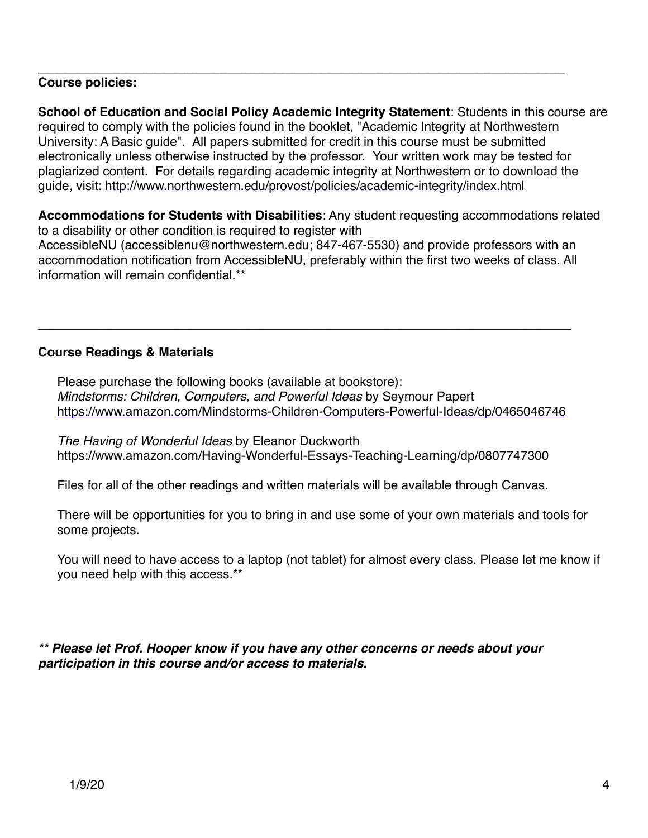#### \_\_\_\_\_\_\_\_\_\_\_\_\_\_\_\_\_\_\_\_\_\_\_\_\_\_\_\_\_\_\_\_\_\_\_\_\_\_\_\_\_\_\_\_\_\_\_\_\_\_\_\_\_\_\_\_\_\_\_\_\_\_\_\_ **Course policies:**

**School of Education and Social Policy Academic Integrity Statement**: Students in this course are required to comply with the policies found in the booklet, "Academic Integrity at Northwestern University: A Basic guide". All papers submitted for credit in this course must be submitted electronically unless otherwise instructed by the professor. Your written work may be tested for plagiarized content. For details regarding academic integrity at Northwestern or to download the guide, visit: <http://www.northwestern.edu/provost/policies/academic-integrity/index.html>

**Accommodations for Students with Disabilities**: Any student requesting accommodations related to a disability or other condition is required to register with AccessibleNU [\(accessiblenu@northwestern.edu](mailto:accessiblenu@northwestern.edu); 847-467-5530) and provide professors with an accommodation notification from AccessibleNU, preferably within the first two weeks of class. All information will remain confidential.\*\*

## **Course Readings & Materials**

Please purchase the following books (available at bookstore): *Mindstorms: Children, Computers, and Powerful Ideas* by Seymour Papert <https://www.amazon.com/Mindstorms-Children-Computers-Powerful-Ideas/dp/0465046746>

 $\mathcal{L}_\mathcal{L} = \{ \mathcal{L}_\mathcal{L} = \{ \mathcal{L}_\mathcal{L} = \{ \mathcal{L}_\mathcal{L} = \{ \mathcal{L}_\mathcal{L} = \{ \mathcal{L}_\mathcal{L} = \{ \mathcal{L}_\mathcal{L} = \{ \mathcal{L}_\mathcal{L} = \{ \mathcal{L}_\mathcal{L} = \{ \mathcal{L}_\mathcal{L} = \{ \mathcal{L}_\mathcal{L} = \{ \mathcal{L}_\mathcal{L} = \{ \mathcal{L}_\mathcal{L} = \{ \mathcal{L}_\mathcal{L} = \{ \mathcal{L}_\mathcal{$ 

*The Having of Wonderful Ideas* by Eleanor Duckworth https://www.amazon.com/Having-Wonderful-Essays-Teaching-Learning/dp/0807747300

Files for all of the other readings and written materials will be available through Canvas.

There will be opportunities for you to bring in and use some of your own materials and tools for some projects.

You will need to have access to a laptop (not tablet) for almost every class. Please let me know if you need help with this access.\*\*

*\*\* Please let Prof. Hooper know if you have any other concerns or needs about your participation in this course and/or access to materials.*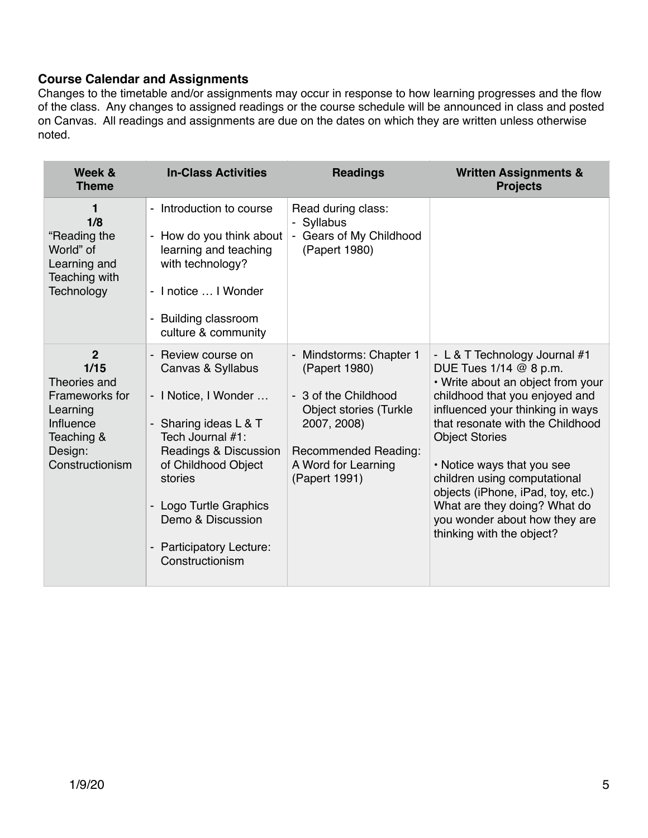## **Course Calendar and Assignments**

Changes to the timetable and/or assignments may occur in response to how learning progresses and the flow of the class. Any changes to assigned readings or the course schedule will be announced in class and posted on Canvas. All readings and assignments are due on the dates on which they are written unless otherwise noted.

| Week &<br><b>Theme</b>                                                                                                               | <b>In-Class Activities</b>                                                                                                                                                                                                                                                                         | <b>Readings</b>                                                                                                                                                                  | <b>Written Assignments &amp;</b><br><b>Projects</b>                                                                                                                                                                                                                                                                                                                                                                              |
|--------------------------------------------------------------------------------------------------------------------------------------|----------------------------------------------------------------------------------------------------------------------------------------------------------------------------------------------------------------------------------------------------------------------------------------------------|----------------------------------------------------------------------------------------------------------------------------------------------------------------------------------|----------------------------------------------------------------------------------------------------------------------------------------------------------------------------------------------------------------------------------------------------------------------------------------------------------------------------------------------------------------------------------------------------------------------------------|
| 1<br>1/8<br>"Reading the<br>World" of<br>Learning and<br>Teaching with<br>Technology                                                 | Introduction to course<br>$\blacksquare$<br>How do you think about<br>$\blacksquare$<br>learning and teaching<br>with technology?<br>- I notice  I Wonder<br><b>Building classroom</b><br>culture & community                                                                                      | Read during class:<br>- Syllabus<br>- Gears of My Childhood<br>(Papert 1980)                                                                                                     |                                                                                                                                                                                                                                                                                                                                                                                                                                  |
| $\overline{2}$<br>1/15<br>Theories and<br><b>Frameworks for</b><br>Learning<br>Influence<br>Teaching &<br>Design:<br>Constructionism | - Review course on<br>Canvas & Syllabus<br>- I Notice, I Wonder<br>Sharing ideas L & T<br>$\overline{\phantom{a}}$<br>Tech Journal #1:<br>Readings & Discussion<br>of Childhood Object<br>stories<br>Logo Turtle Graphics<br>Demo & Discussion<br><b>Participatory Lecture:</b><br>Constructionism | - Mindstorms: Chapter 1<br>(Papert 1980)<br>- 3 of the Childhood<br><b>Object stories (Turkle</b><br>2007, 2008)<br>Recommended Reading:<br>A Word for Learning<br>(Papert 1991) | - L & T Technology Journal #1<br>DUE Tues 1/14 @ 8 p.m.<br>• Write about an object from your<br>childhood that you enjoyed and<br>influenced your thinking in ways<br>that resonate with the Childhood<br><b>Object Stories</b><br>• Notice ways that you see<br>children using computational<br>objects (iPhone, iPad, toy, etc.)<br>What are they doing? What do<br>you wonder about how they are<br>thinking with the object? |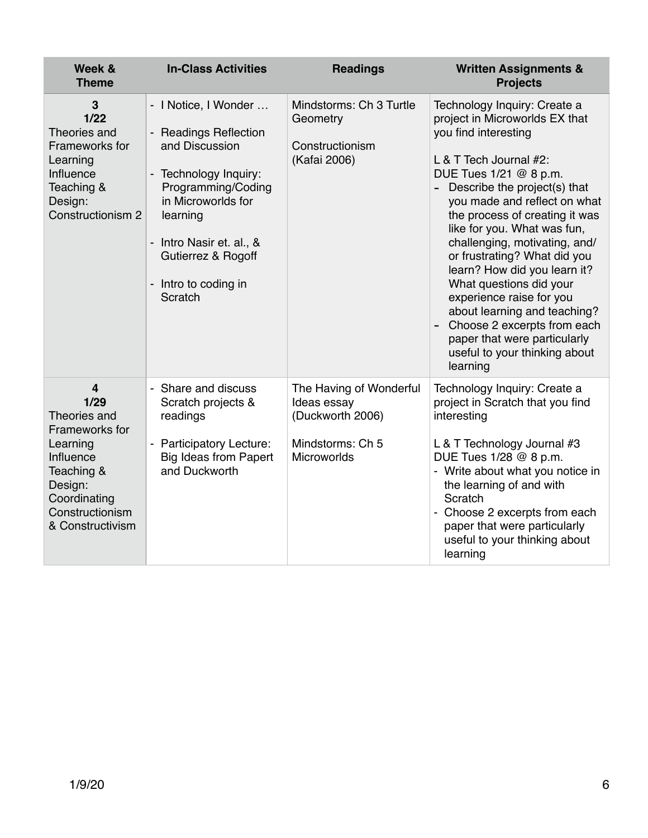| Week &<br><b>Theme</b>                                                                                                                                            | <b>In-Class Activities</b>                                                                                                                                                                                                                          | <b>Readings</b>                                                                                      | <b>Written Assignments &amp;</b><br><b>Projects</b>                                                                                                                                                                                                                                                                                                                                                                                                                                                                                                                               |
|-------------------------------------------------------------------------------------------------------------------------------------------------------------------|-----------------------------------------------------------------------------------------------------------------------------------------------------------------------------------------------------------------------------------------------------|------------------------------------------------------------------------------------------------------|-----------------------------------------------------------------------------------------------------------------------------------------------------------------------------------------------------------------------------------------------------------------------------------------------------------------------------------------------------------------------------------------------------------------------------------------------------------------------------------------------------------------------------------------------------------------------------------|
| 3<br>$1/22$<br>Theories and<br>Frameworks for<br>Learning<br>Influence<br>Teaching &<br>Design:<br>Constructionism 2                                              | - I Notice, I Wonder<br>- Readings Reflection<br>and Discussion<br>- Technology Inquiry:<br>Programming/Coding<br>in Microworlds for<br>learning<br>Intro Nasir et. al., &<br>$\blacksquare$<br>Gutierrez & Rogoff<br>Intro to coding in<br>Scratch | Mindstorms: Ch 3 Turtle<br>Geometry<br>Constructionism<br>(Kafai 2006)                               | Technology Inquiry: Create a<br>project in Microworlds EX that<br>you find interesting<br>L & T Tech Journal #2:<br>DUE Tues 1/21 @ 8 p.m.<br>- Describe the project(s) that<br>you made and reflect on what<br>the process of creating it was<br>like for you. What was fun,<br>challenging, motivating, and/<br>or frustrating? What did you<br>learn? How did you learn it?<br>What questions did your<br>experience raise for you<br>about learning and teaching?<br>Choose 2 excerpts from each<br>paper that were particularly<br>useful to your thinking about<br>learning |
| $\overline{4}$<br>1/29<br>Theories and<br>Frameworks for<br>Learning<br>Influence<br>Teaching &<br>Design:<br>Coordinating<br>Constructionism<br>& Constructivism | - Share and discuss<br>Scratch projects &<br>readings<br>- Participatory Lecture:<br><b>Big Ideas from Papert</b><br>and Duckworth                                                                                                                  | The Having of Wonderful<br>Ideas essay<br>(Duckworth 2006)<br>Mindstorms: Ch 5<br><b>Microworlds</b> | Technology Inquiry: Create a<br>project in Scratch that you find<br>interesting<br>L & T Technology Journal #3<br>DUE Tues 1/28 @ 8 p.m.<br>- Write about what you notice in<br>the learning of and with<br>Scratch<br>- Choose 2 excerpts from each<br>paper that were particularly<br>useful to your thinking about<br>learning                                                                                                                                                                                                                                                 |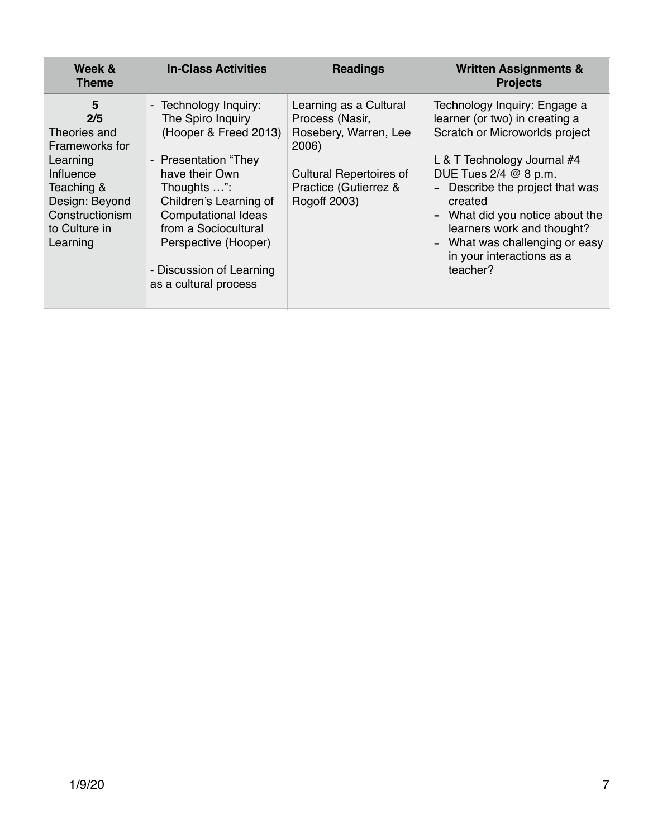| Week &<br><b>Theme</b>                                                                                                                              | <b>In-Class Activities</b>                                                                                                                                                                                                                                                                                                                           | <b>Readings</b>                                                                                                                                        | <b>Written Assignments &amp;</b><br><b>Projects</b>                                                                                                                                                                                                                                                                                          |
|-----------------------------------------------------------------------------------------------------------------------------------------------------|------------------------------------------------------------------------------------------------------------------------------------------------------------------------------------------------------------------------------------------------------------------------------------------------------------------------------------------------------|--------------------------------------------------------------------------------------------------------------------------------------------------------|----------------------------------------------------------------------------------------------------------------------------------------------------------------------------------------------------------------------------------------------------------------------------------------------------------------------------------------------|
| 5<br>2/5<br>Theories and<br>Frameworks for<br>Learning<br>Influence<br>Teaching &<br>Design: Beyond<br>Constructionism<br>to Culture in<br>Learning | Technology Inquiry:<br>$\overline{\phantom{a}}$<br>The Spiro Inquiry<br>(Hooper & Freed 2013)<br><b>Presentation "They</b><br>$\overline{\phantom{a}}$<br>have their Own<br>Thoughts ":<br>Children's Learning of<br><b>Computational Ideas</b><br>from a Sociocultural<br>Perspective (Hooper)<br>- Discussion of Learning<br>as a cultural process | Learning as a Cultural<br>Process (Nasir,<br>Rosebery, Warren, Lee<br>2006)<br><b>Cultural Repertoires of</b><br>Practice (Gutierrez &<br>Rogoff 2003) | Technology Inquiry: Engage a<br>learner (or two) in creating a<br>Scratch or Microworlds project<br>L & T Technology Journal #4<br>DUE Tues 2/4 @ 8 p.m.<br>Describe the project that was<br>created<br>What did you notice about the<br>learners work and thought?<br>What was challenging or easy<br>in your interactions as a<br>teacher? |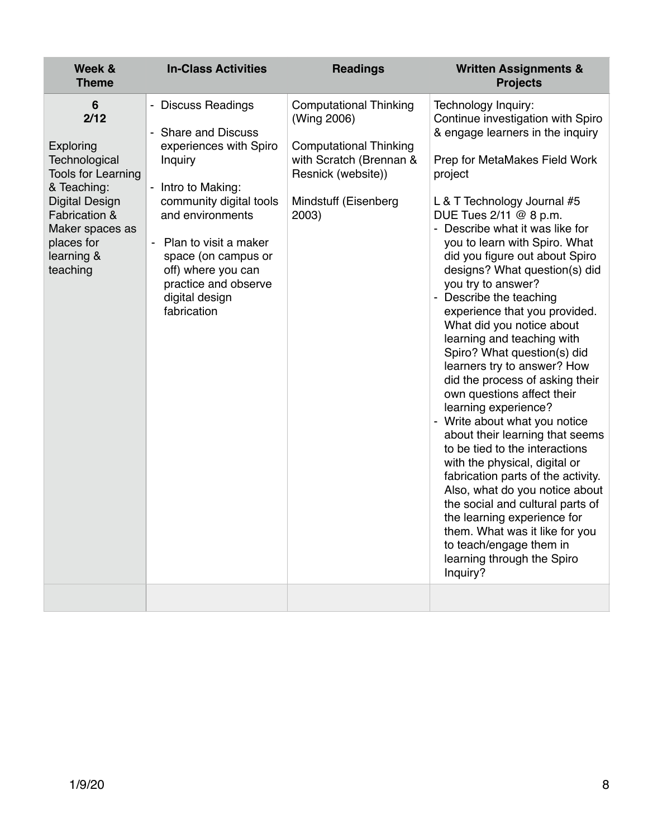| Week &<br><b>Theme</b>                                                                                                                                                                   | <b>In-Class Activities</b>                                                                                                                                                                                                                                                           | <b>Readings</b>                                                                                                                                                 | <b>Written Assignments &amp;</b><br><b>Projects</b>                                                                                                                                                                                                                                                                                                                                                                                                                                                                                                                                                                                                                                                                                                                                                                                                                                                                                                                                                                                   |
|------------------------------------------------------------------------------------------------------------------------------------------------------------------------------------------|--------------------------------------------------------------------------------------------------------------------------------------------------------------------------------------------------------------------------------------------------------------------------------------|-----------------------------------------------------------------------------------------------------------------------------------------------------------------|---------------------------------------------------------------------------------------------------------------------------------------------------------------------------------------------------------------------------------------------------------------------------------------------------------------------------------------------------------------------------------------------------------------------------------------------------------------------------------------------------------------------------------------------------------------------------------------------------------------------------------------------------------------------------------------------------------------------------------------------------------------------------------------------------------------------------------------------------------------------------------------------------------------------------------------------------------------------------------------------------------------------------------------|
| 6<br>2/12<br>Exploring<br>Technological<br><b>Tools for Learning</b><br>& Teaching:<br><b>Digital Design</b><br>Fabrication &<br>Maker spaces as<br>places for<br>learning &<br>teaching | - Discuss Readings<br>- Share and Discuss<br>experiences with Spiro<br>Inquiry<br>- Intro to Making:<br>community digital tools<br>and environments<br>- Plan to visit a maker<br>space (on campus or<br>off) where you can<br>practice and observe<br>digital design<br>fabrication | <b>Computational Thinking</b><br>(Wing 2006)<br><b>Computational Thinking</b><br>with Scratch (Brennan &<br>Resnick (website))<br>Mindstuff (Eisenberg<br>2003) | Technology Inquiry:<br>Continue investigation with Spiro<br>& engage learners in the inquiry<br>Prep for MetaMakes Field Work<br>project<br>L & T Technology Journal #5<br>DUE Tues 2/11 @ 8 p.m.<br>- Describe what it was like for<br>you to learn with Spiro. What<br>did you figure out about Spiro<br>designs? What question(s) did<br>you try to answer?<br>- Describe the teaching<br>experience that you provided.<br>What did you notice about<br>learning and teaching with<br>Spiro? What question(s) did<br>learners try to answer? How<br>did the process of asking their<br>own questions affect their<br>learning experience?<br>- Write about what you notice<br>about their learning that seems<br>to be tied to the interactions<br>with the physical, digital or<br>fabrication parts of the activity.<br>Also, what do you notice about<br>the social and cultural parts of<br>the learning experience for<br>them. What was it like for you<br>to teach/engage them in<br>learning through the Spiro<br>Inquiry? |
|                                                                                                                                                                                          |                                                                                                                                                                                                                                                                                      |                                                                                                                                                                 |                                                                                                                                                                                                                                                                                                                                                                                                                                                                                                                                                                                                                                                                                                                                                                                                                                                                                                                                                                                                                                       |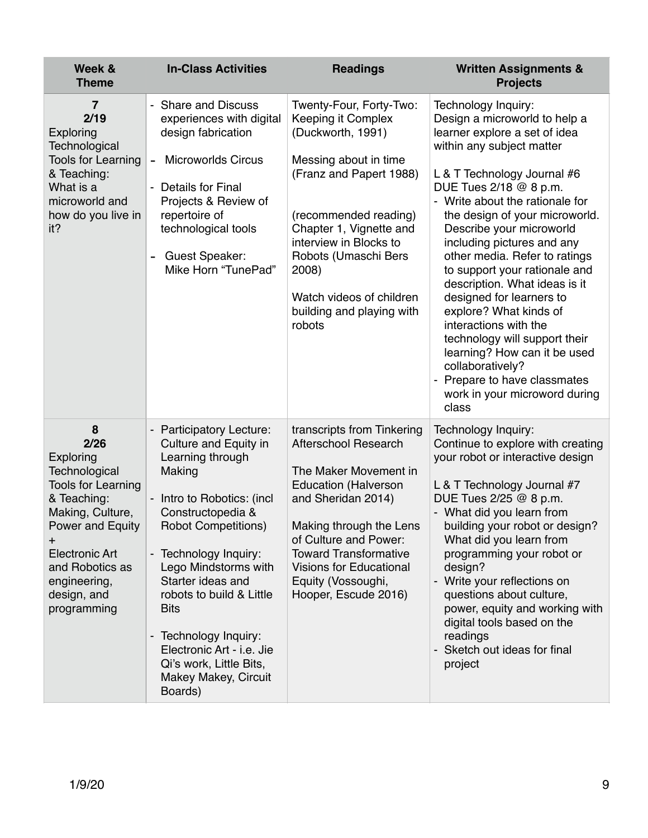| Week &<br><b>Theme</b>                                                                                                                                                                                                                | <b>In-Class Activities</b>                                                                                                                                                                                                                                                                                                                                                                              | <b>Readings</b>                                                                                                                                                                                                                                                                                             | <b>Written Assignments &amp;</b><br><b>Projects</b>                                                                                                                                                                                                                                                                                                                                                                                                                                                                                                                                                                                                       |
|---------------------------------------------------------------------------------------------------------------------------------------------------------------------------------------------------------------------------------------|---------------------------------------------------------------------------------------------------------------------------------------------------------------------------------------------------------------------------------------------------------------------------------------------------------------------------------------------------------------------------------------------------------|-------------------------------------------------------------------------------------------------------------------------------------------------------------------------------------------------------------------------------------------------------------------------------------------------------------|-----------------------------------------------------------------------------------------------------------------------------------------------------------------------------------------------------------------------------------------------------------------------------------------------------------------------------------------------------------------------------------------------------------------------------------------------------------------------------------------------------------------------------------------------------------------------------------------------------------------------------------------------------------|
| 7<br>2/19<br><b>Exploring</b><br>Technological<br><b>Tools for Learning</b><br>& Teaching:<br>What is a<br>microworld and<br>how do you live in<br>it?                                                                                | - Share and Discuss<br>experiences with digital<br>design fabrication<br><b>Microworlds Circus</b><br>$\blacksquare$<br><b>Details for Final</b><br>$\blacksquare$<br>Projects & Review of<br>repertoire of<br>technological tools<br><b>Guest Speaker:</b><br>Mike Horn "TunePad"                                                                                                                      | Twenty-Four, Forty-Two:<br>Keeping it Complex<br>(Duckworth, 1991)<br>Messing about in time<br>(Franz and Papert 1988)<br>(recommended reading)<br>Chapter 1, Vignette and<br>interview in Blocks to<br>Robots (Umaschi Bers<br>2008)<br>Watch videos of children<br>building and playing with<br>robots    | Technology Inquiry:<br>Design a microworld to help a<br>learner explore a set of idea<br>within any subject matter<br>L & T Technology Journal #6<br>DUE Tues 2/18 @ 8 p.m.<br>- Write about the rationale for<br>the design of your microworld.<br>Describe your microworld<br>including pictures and any<br>other media. Refer to ratings<br>to support your rationale and<br>description. What ideas is it<br>designed for learners to<br>explore? What kinds of<br>interactions with the<br>technology will support their<br>learning? How can it be used<br>collaboratively?<br>Prepare to have classmates<br>work in your microword during<br>class |
| 8<br>2/26<br><b>Exploring</b><br>Technological<br><b>Tools for Learning</b><br>& Teaching:<br>Making, Culture,<br>Power and Equity<br>$\pm$<br><b>Electronic Art</b><br>and Robotics as<br>engineering,<br>design, and<br>programming | <b>Participatory Lecture:</b><br>Culture and Equity in<br>Learning through<br>Making<br>Intro to Robotics: (incl.<br>Constructopedia &<br><b>Robot Competitions)</b><br>Technology Inquiry:<br>Lego Mindstorms with<br>Starter ideas and<br>robots to build & Little<br><b>Bits</b><br>- Technology Inquiry:<br>Electronic Art - i.e. Jie<br>Qi's work, Little Bits,<br>Makey Makey, Circuit<br>Boards) | transcripts from Tinkering<br><b>Afterschool Research</b><br>The Maker Movement in<br><b>Education (Halverson</b><br>and Sheridan 2014)<br>Making through the Lens<br>of Culture and Power:<br><b>Toward Transformative</b><br><b>Visions for Educational</b><br>Equity (Vossoughi,<br>Hooper, Escude 2016) | Technology Inquiry:<br>Continue to explore with creating<br>your robot or interactive design<br>L & T Technology Journal #7<br>DUE Tues 2/25 @ 8 p.m.<br>- What did you learn from<br>building your robot or design?<br>What did you learn from<br>programming your robot or<br>design?<br>- Write your reflections on<br>questions about culture,<br>power, equity and working with<br>digital tools based on the<br>readings<br>Sketch out ideas for final<br>project                                                                                                                                                                                   |